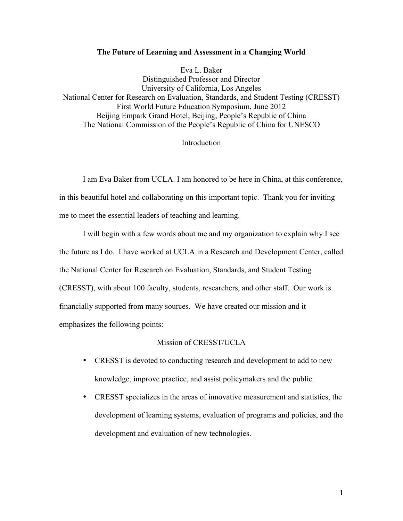## **The Future of Learning and Assessment in a Changing World**

Eva L. Baker Distinguished Professor and Director University of California, Los Angeles National Center for Research on Evaluation, Standards, and Student Testing (CRESST) First World Future Education Symposium, June 2012 Beijing Empark Grand Hotel, Beijing, People's Republic of China The National Commission of the People's Republic of China for UNESCO

## Introduction

I am Eva Baker from UCLA. I am honored to be here in China, at this conference, in this beautiful hotel and collaborating on this important topic. Thank you for inviting me to meet the essential leaders of teaching and learning.

I will begin with a few words about me and my organization to explain why I see the future as I do. I have worked at UCLA in a Research and Development Center, called the National Center for Research on Evaluation, Standards, and Student Testing (CRESST), with about 100 faculty, students, researchers, and other staff. Our work is financially supported from many sources. We have created our mission and it emphasizes the following points:

## Mission of CRESST/UCLA

- CRESST is devoted to conducting research and development to add to new knowledge, improve practice, and assist policymakers and the public.
- CRESST specializes in the areas of innovative measurement and statistics, the development of learning systems, evaluation of programs and policies, and the development and evaluation of new technologies.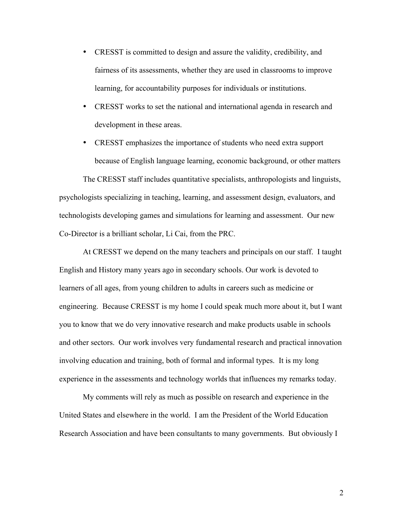- CRESST is committed to design and assure the validity, credibility, and fairness of its assessments, whether they are used in classrooms to improve learning, for accountability purposes for individuals or institutions.
- CRESST works to set the national and international agenda in research and development in these areas.
- CRESST emphasizes the importance of students who need extra support because of English language learning, economic background, or other matters

The CRESST staff includes quantitative specialists, anthropologists and linguists, psychologists specializing in teaching, learning, and assessment design, evaluators, and technologists developing games and simulations for learning and assessment. Our new Co-Director is a brilliant scholar, Li Cai, from the PRC.

At CRESST we depend on the many teachers and principals on our staff. I taught English and History many years ago in secondary schools. Our work is devoted to learners of all ages, from young children to adults in careers such as medicine or engineering. Because CRESST is my home I could speak much more about it, but I want you to know that we do very innovative research and make products usable in schools and other sectors. Our work involves very fundamental research and practical innovation involving education and training, both of formal and informal types. It is my long experience in the assessments and technology worlds that influences my remarks today.

My comments will rely as much as possible on research and experience in the United States and elsewhere in the world. I am the President of the World Education Research Association and have been consultants to many governments. But obviously I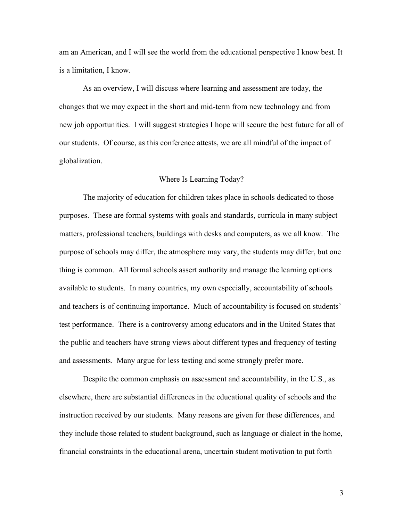am an American, and I will see the world from the educational perspective I know best. It is a limitation, I know.

As an overview, I will discuss where learning and assessment are today, the changes that we may expect in the short and mid-term from new technology and from new job opportunities. I will suggest strategies I hope will secure the best future for all of our students. Of course, as this conference attests, we are all mindful of the impact of globalization.

# Where Is Learning Today?

The majority of education for children takes place in schools dedicated to those purposes. These are formal systems with goals and standards, curricula in many subject matters, professional teachers, buildings with desks and computers, as we all know. The purpose of schools may differ, the atmosphere may vary, the students may differ, but one thing is common. All formal schools assert authority and manage the learning options available to students. In many countries, my own especially, accountability of schools and teachers is of continuing importance. Much of accountability is focused on students' test performance. There is a controversy among educators and in the United States that the public and teachers have strong views about different types and frequency of testing and assessments. Many argue for less testing and some strongly prefer more.

Despite the common emphasis on assessment and accountability, in the U.S., as elsewhere, there are substantial differences in the educational quality of schools and the instruction received by our students. Many reasons are given for these differences, and they include those related to student background, such as language or dialect in the home, financial constraints in the educational arena, uncertain student motivation to put forth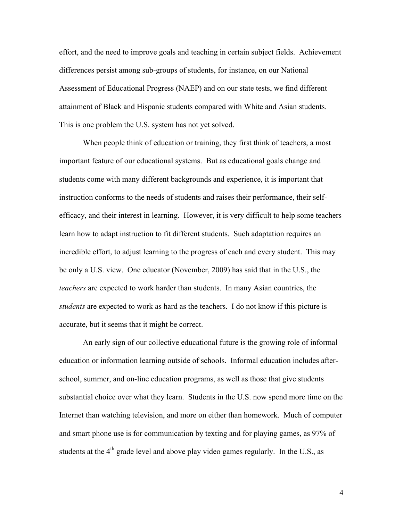effort, and the need to improve goals and teaching in certain subject fields. Achievement differences persist among sub-groups of students, for instance, on our National Assessment of Educational Progress (NAEP) and on our state tests, we find different attainment of Black and Hispanic students compared with White and Asian students. This is one problem the U.S. system has not yet solved.

When people think of education or training, they first think of teachers, a most important feature of our educational systems. But as educational goals change and students come with many different backgrounds and experience, it is important that instruction conforms to the needs of students and raises their performance, their selfefficacy, and their interest in learning. However, it is very difficult to help some teachers learn how to adapt instruction to fit different students. Such adaptation requires an incredible effort, to adjust learning to the progress of each and every student. This may be only a U.S. view. One educator (November, 2009) has said that in the U.S., the *teachers* are expected to work harder than students. In many Asian countries, the *students* are expected to work as hard as the teachers. I do not know if this picture is accurate, but it seems that it might be correct.

An early sign of our collective educational future is the growing role of informal education or information learning outside of schools. Informal education includes afterschool, summer, and on-line education programs, as well as those that give students substantial choice over what they learn. Students in the U.S. now spend more time on the Internet than watching television, and more on either than homework. Much of computer and smart phone use is for communication by texting and for playing games, as 97% of students at the  $4<sup>th</sup>$  grade level and above play video games regularly. In the U.S., as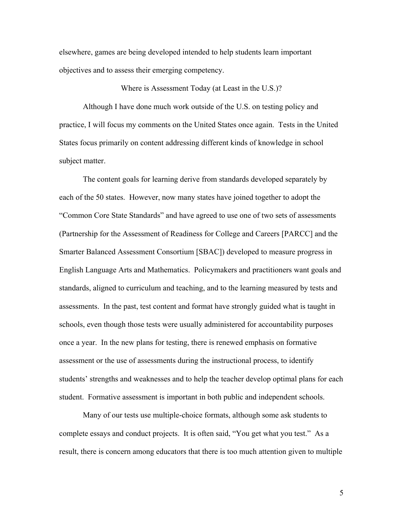elsewhere, games are being developed intended to help students learn important objectives and to assess their emerging competency.

Where is Assessment Today (at Least in the U.S.)?

Although I have done much work outside of the U.S. on testing policy and practice, I will focus my comments on the United States once again. Tests in the United States focus primarily on content addressing different kinds of knowledge in school subject matter.

The content goals for learning derive from standards developed separately by each of the 50 states. However, now many states have joined together to adopt the "Common Core State Standards" and have agreed to use one of two sets of assessments (Partnership for the Assessment of Readiness for College and Careers [PARCC] and the Smarter Balanced Assessment Consortium [SBAC]) developed to measure progress in English Language Arts and Mathematics. Policymakers and practitioners want goals and standards, aligned to curriculum and teaching, and to the learning measured by tests and assessments. In the past, test content and format have strongly guided what is taught in schools, even though those tests were usually administered for accountability purposes once a year. In the new plans for testing, there is renewed emphasis on formative assessment or the use of assessments during the instructional process, to identify students' strengths and weaknesses and to help the teacher develop optimal plans for each student. Formative assessment is important in both public and independent schools.

Many of our tests use multiple-choice formats, although some ask students to complete essays and conduct projects. It is often said, "You get what you test." As a result, there is concern among educators that there is too much attention given to multiple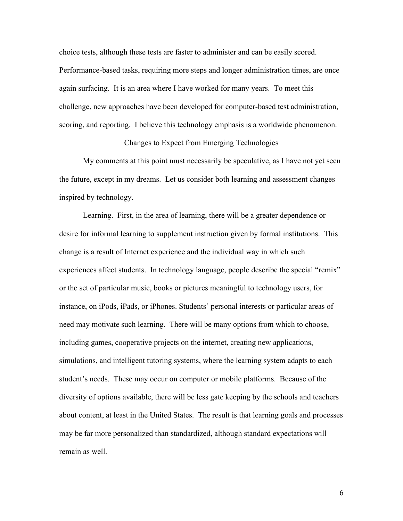choice tests, although these tests are faster to administer and can be easily scored. Performance-based tasks, requiring more steps and longer administration times, are once again surfacing. It is an area where I have worked for many years. To meet this challenge, new approaches have been developed for computer-based test administration, scoring, and reporting. I believe this technology emphasis is a worldwide phenomenon.

Changes to Expect from Emerging Technologies

My comments at this point must necessarily be speculative, as I have not yet seen the future, except in my dreams. Let us consider both learning and assessment changes inspired by technology.

Learning. First, in the area of learning, there will be a greater dependence or desire for informal learning to supplement instruction given by formal institutions. This change is a result of Internet experience and the individual way in which such experiences affect students. In technology language, people describe the special "remix" or the set of particular music, books or pictures meaningful to technology users, for instance, on iPods, iPads, or iPhones. Students' personal interests or particular areas of need may motivate such learning. There will be many options from which to choose, including games, cooperative projects on the internet, creating new applications, simulations, and intelligent tutoring systems, where the learning system adapts to each student's needs. These may occur on computer or mobile platforms. Because of the diversity of options available, there will be less gate keeping by the schools and teachers about content, at least in the United States. The result is that learning goals and processes may be far more personalized than standardized, although standard expectations will remain as well.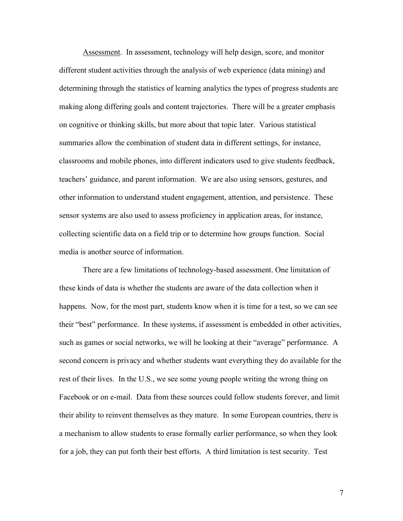Assessment. In assessment, technology will help design, score, and monitor different student activities through the analysis of web experience (data mining) and determining through the statistics of learning analytics the types of progress students are making along differing goals and content trajectories. There will be a greater emphasis on cognitive or thinking skills, but more about that topic later. Various statistical summaries allow the combination of student data in different settings, for instance, classrooms and mobile phones, into different indicators used to give students feedback, teachers' guidance, and parent information. We are also using sensors, gestures, and other information to understand student engagement, attention, and persistence. These sensor systems are also used to assess proficiency in application areas, for instance, collecting scientific data on a field trip or to determine how groups function. Social media is another source of information.

There are a few limitations of technology-based assessment. One limitation of these kinds of data is whether the students are aware of the data collection when it happens. Now, for the most part, students know when it is time for a test, so we can see their "best" performance. In these systems, if assessment is embedded in other activities, such as games or social networks, we will be looking at their "average" performance. A second concern is privacy and whether students want everything they do available for the rest of their lives. In the U.S., we see some young people writing the wrong thing on Facebook or on e-mail. Data from these sources could follow students forever, and limit their ability to reinvent themselves as they mature. In some European countries, there is a mechanism to allow students to erase formally earlier performance, so when they look for a job, they can put forth their best efforts. A third limitation is test security. Test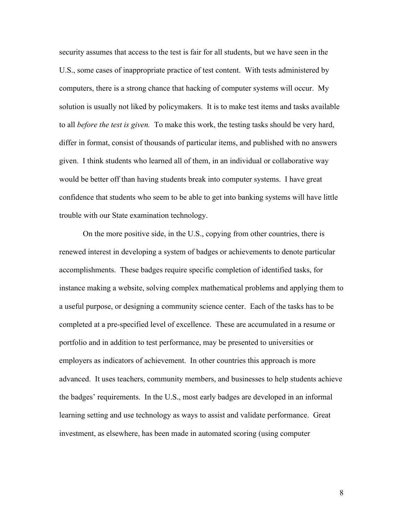security assumes that access to the test is fair for all students, but we have seen in the U.S., some cases of inappropriate practice of test content. With tests administered by computers, there is a strong chance that hacking of computer systems will occur. My solution is usually not liked by policymakers. It is to make test items and tasks available to all *before the test is given.* To make this work, the testing tasks should be very hard, differ in format, consist of thousands of particular items, and published with no answers given. I think students who learned all of them, in an individual or collaborative way would be better off than having students break into computer systems. I have great confidence that students who seem to be able to get into banking systems will have little trouble with our State examination technology.

On the more positive side, in the U.S., copying from other countries, there is renewed interest in developing a system of badges or achievements to denote particular accomplishments. These badges require specific completion of identified tasks, for instance making a website, solving complex mathematical problems and applying them to a useful purpose, or designing a community science center. Each of the tasks has to be completed at a pre-specified level of excellence. These are accumulated in a resume or portfolio and in addition to test performance, may be presented to universities or employers as indicators of achievement. In other countries this approach is more advanced. It uses teachers, community members, and businesses to help students achieve the badges' requirements. In the U.S., most early badges are developed in an informal learning setting and use technology as ways to assist and validate performance. Great investment, as elsewhere, has been made in automated scoring (using computer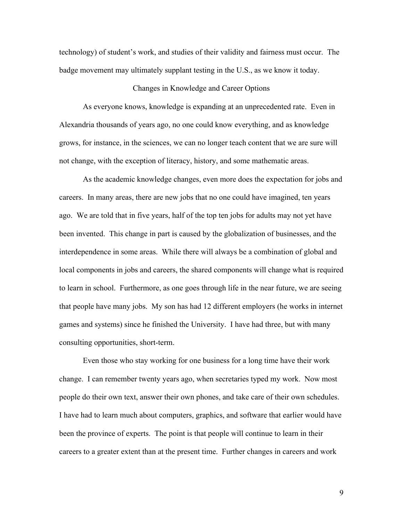technology) of student's work, and studies of their validity and fairness must occur. The badge movement may ultimately supplant testing in the U.S., as we know it today.

## Changes in Knowledge and Career Options

As everyone knows, knowledge is expanding at an unprecedented rate. Even in Alexandria thousands of years ago, no one could know everything, and as knowledge grows, for instance, in the sciences, we can no longer teach content that we are sure will not change, with the exception of literacy, history, and some mathematic areas.

As the academic knowledge changes, even more does the expectation for jobs and careers. In many areas, there are new jobs that no one could have imagined, ten years ago. We are told that in five years, half of the top ten jobs for adults may not yet have been invented. This change in part is caused by the globalization of businesses, and the interdependence in some areas. While there will always be a combination of global and local components in jobs and careers, the shared components will change what is required to learn in school. Furthermore, as one goes through life in the near future, we are seeing that people have many jobs. My son has had 12 different employers (he works in internet games and systems) since he finished the University. I have had three, but with many consulting opportunities, short-term.

Even those who stay working for one business for a long time have their work change. I can remember twenty years ago, when secretaries typed my work. Now most people do their own text, answer their own phones, and take care of their own schedules. I have had to learn much about computers, graphics, and software that earlier would have been the province of experts. The point is that people will continue to learn in their careers to a greater extent than at the present time. Further changes in careers and work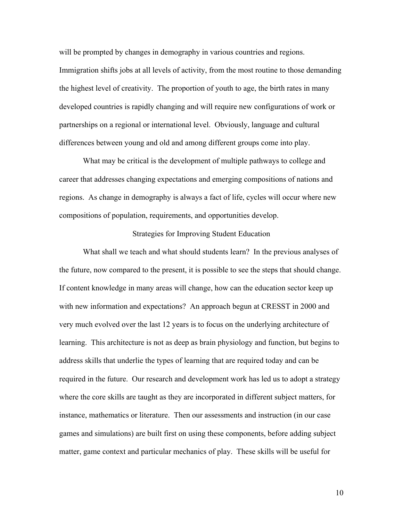will be prompted by changes in demography in various countries and regions. Immigration shifts jobs at all levels of activity, from the most routine to those demanding the highest level of creativity. The proportion of youth to age, the birth rates in many developed countries is rapidly changing and will require new configurations of work or partnerships on a regional or international level. Obviously, language and cultural differences between young and old and among different groups come into play.

What may be critical is the development of multiple pathways to college and career that addresses changing expectations and emerging compositions of nations and regions. As change in demography is always a fact of life, cycles will occur where new compositions of population, requirements, and opportunities develop.

# Strategies for Improving Student Education

What shall we teach and what should students learn? In the previous analyses of the future, now compared to the present, it is possible to see the steps that should change. If content knowledge in many areas will change, how can the education sector keep up with new information and expectations? An approach begun at CRESST in 2000 and very much evolved over the last 12 years is to focus on the underlying architecture of learning. This architecture is not as deep as brain physiology and function, but begins to address skills that underlie the types of learning that are required today and can be required in the future. Our research and development work has led us to adopt a strategy where the core skills are taught as they are incorporated in different subject matters, for instance, mathematics or literature. Then our assessments and instruction (in our case games and simulations) are built first on using these components, before adding subject matter, game context and particular mechanics of play. These skills will be useful for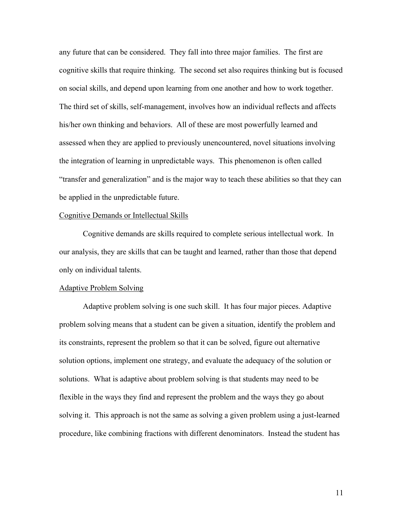any future that can be considered. They fall into three major families. The first are cognitive skills that require thinking. The second set also requires thinking but is focused on social skills, and depend upon learning from one another and how to work together. The third set of skills, self-management, involves how an individual reflects and affects his/her own thinking and behaviors. All of these are most powerfully learned and assessed when they are applied to previously unencountered, novel situations involving the integration of learning in unpredictable ways. This phenomenon is often called "transfer and generalization" and is the major way to teach these abilities so that they can be applied in the unpredictable future.

## Cognitive Demands or Intellectual Skills

Cognitive demands are skills required to complete serious intellectual work. In our analysis, they are skills that can be taught and learned, rather than those that depend only on individual talents.

#### Adaptive Problem Solving

Adaptive problem solving is one such skill. It has four major pieces. Adaptive problem solving means that a student can be given a situation, identify the problem and its constraints, represent the problem so that it can be solved, figure out alternative solution options, implement one strategy, and evaluate the adequacy of the solution or solutions. What is adaptive about problem solving is that students may need to be flexible in the ways they find and represent the problem and the ways they go about solving it. This approach is not the same as solving a given problem using a just-learned procedure, like combining fractions with different denominators. Instead the student has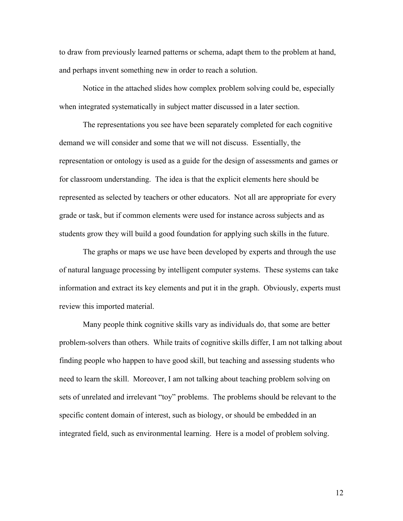to draw from previously learned patterns or schema, adapt them to the problem at hand, and perhaps invent something new in order to reach a solution.

Notice in the attached slides how complex problem solving could be, especially when integrated systematically in subject matter discussed in a later section.

The representations you see have been separately completed for each cognitive demand we will consider and some that we will not discuss. Essentially, the representation or ontology is used as a guide for the design of assessments and games or for classroom understanding. The idea is that the explicit elements here should be represented as selected by teachers or other educators. Not all are appropriate for every grade or task, but if common elements were used for instance across subjects and as students grow they will build a good foundation for applying such skills in the future.

The graphs or maps we use have been developed by experts and through the use of natural language processing by intelligent computer systems. These systems can take information and extract its key elements and put it in the graph. Obviously, experts must review this imported material.

Many people think cognitive skills vary as individuals do, that some are better problem-solvers than others. While traits of cognitive skills differ, I am not talking about finding people who happen to have good skill, but teaching and assessing students who need to learn the skill. Moreover, I am not talking about teaching problem solving on sets of unrelated and irrelevant "toy" problems. The problems should be relevant to the specific content domain of interest, such as biology, or should be embedded in an integrated field, such as environmental learning. Here is a model of problem solving.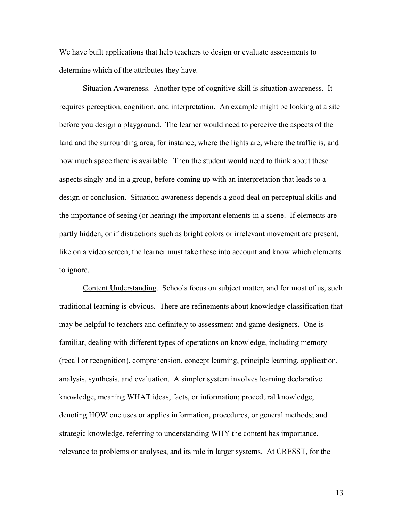We have built applications that help teachers to design or evaluate assessments to determine which of the attributes they have.

Situation Awareness. Another type of cognitive skill is situation awareness. It requires perception, cognition, and interpretation. An example might be looking at a site before you design a playground. The learner would need to perceive the aspects of the land and the surrounding area, for instance, where the lights are, where the traffic is, and how much space there is available. Then the student would need to think about these aspects singly and in a group, before coming up with an interpretation that leads to a design or conclusion. Situation awareness depends a good deal on perceptual skills and the importance of seeing (or hearing) the important elements in a scene. If elements are partly hidden, or if distractions such as bright colors or irrelevant movement are present, like on a video screen, the learner must take these into account and know which elements to ignore.

Content Understanding. Schools focus on subject matter, and for most of us, such traditional learning is obvious. There are refinements about knowledge classification that may be helpful to teachers and definitely to assessment and game designers. One is familiar, dealing with different types of operations on knowledge, including memory (recall or recognition), comprehension, concept learning, principle learning, application, analysis, synthesis, and evaluation. A simpler system involves learning declarative knowledge, meaning WHAT ideas, facts, or information; procedural knowledge, denoting HOW one uses or applies information, procedures, or general methods; and strategic knowledge, referring to understanding WHY the content has importance, relevance to problems or analyses, and its role in larger systems. At CRESST, for the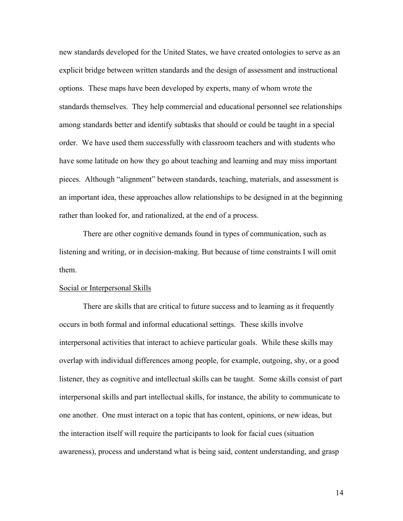new standards developed for the United States, we have created ontologies to serve as an explicit bridge between written standards and the design of assessment and instructional options. These maps have been developed by experts, many of whom wrote the standards themselves. They help commercial and educational personnel see relationships among standards better and identify subtasks that should or could be taught in a special order. We have used them successfully with classroom teachers and with students who have some latitude on how they go about teaching and learning and may miss important pieces. Although "alignment" between standards, teaching, materials, and assessment is an important idea, these approaches allow relationships to be designed in at the beginning rather than looked for, and rationalized, at the end of a process.

There are other cognitive demands found in types of communication, such as listening and writing, or in decision-making. But because of time constraints I will omit them.

#### Social or Interpersonal Skills

There are skills that are critical to future success and to learning as it frequently occurs in both formal and informal educational settings. These skills involve interpersonal activities that interact to achieve particular goals. While these skills may overlap with individual differences among people, for example, outgoing, shy, or a good listener, they as cognitive and intellectual skills can be taught. Some skills consist of part interpersonal skills and part intellectual skills, for instance, the ability to communicate to one another. One must interact on a topic that has content, opinions, or new ideas, but the interaction itself will require the participants to look for facial cues (situation awareness), process and understand what is being said, content understanding, and grasp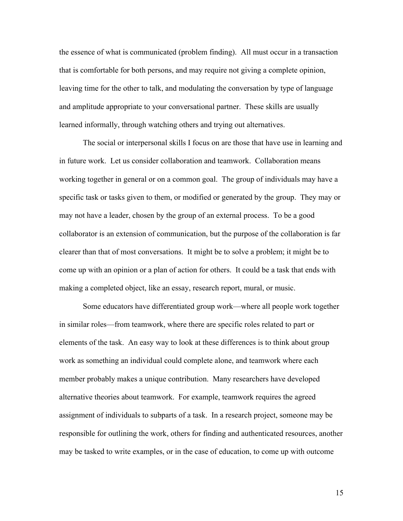the essence of what is communicated (problem finding). All must occur in a transaction that is comfortable for both persons, and may require not giving a complete opinion, leaving time for the other to talk, and modulating the conversation by type of language and amplitude appropriate to your conversational partner. These skills are usually learned informally, through watching others and trying out alternatives.

The social or interpersonal skills I focus on are those that have use in learning and in future work. Let us consider collaboration and teamwork. Collaboration means working together in general or on a common goal. The group of individuals may have a specific task or tasks given to them, or modified or generated by the group. They may or may not have a leader, chosen by the group of an external process. To be a good collaborator is an extension of communication, but the purpose of the collaboration is far clearer than that of most conversations. It might be to solve a problem; it might be to come up with an opinion or a plan of action for others. It could be a task that ends with making a completed object, like an essay, research report, mural, or music.

Some educators have differentiated group work—where all people work together in similar roles—from teamwork, where there are specific roles related to part or elements of the task. An easy way to look at these differences is to think about group work as something an individual could complete alone, and teamwork where each member probably makes a unique contribution. Many researchers have developed alternative theories about teamwork. For example, teamwork requires the agreed assignment of individuals to subparts of a task. In a research project, someone may be responsible for outlining the work, others for finding and authenticated resources, another may be tasked to write examples, or in the case of education, to come up with outcome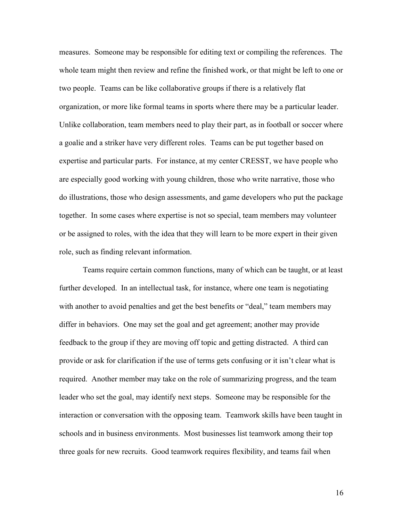measures. Someone may be responsible for editing text or compiling the references. The whole team might then review and refine the finished work, or that might be left to one or two people. Teams can be like collaborative groups if there is a relatively flat organization, or more like formal teams in sports where there may be a particular leader. Unlike collaboration, team members need to play their part, as in football or soccer where a goalie and a striker have very different roles. Teams can be put together based on expertise and particular parts. For instance, at my center CRESST, we have people who are especially good working with young children, those who write narrative, those who do illustrations, those who design assessments, and game developers who put the package together. In some cases where expertise is not so special, team members may volunteer or be assigned to roles, with the idea that they will learn to be more expert in their given role, such as finding relevant information.

Teams require certain common functions, many of which can be taught, or at least further developed. In an intellectual task, for instance, where one team is negotiating with another to avoid penalties and get the best benefits or "deal," team members may differ in behaviors. One may set the goal and get agreement; another may provide feedback to the group if they are moving off topic and getting distracted. A third can provide or ask for clarification if the use of terms gets confusing or it isn't clear what is required. Another member may take on the role of summarizing progress, and the team leader who set the goal, may identify next steps. Someone may be responsible for the interaction or conversation with the opposing team. Teamwork skills have been taught in schools and in business environments. Most businesses list teamwork among their top three goals for new recruits. Good teamwork requires flexibility, and teams fail when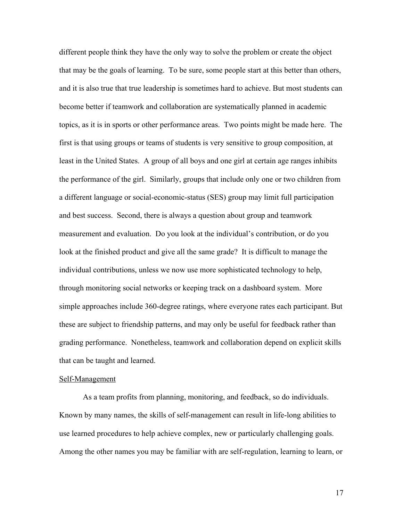different people think they have the only way to solve the problem or create the object that may be the goals of learning. To be sure, some people start at this better than others, and it is also true that true leadership is sometimes hard to achieve. But most students can become better if teamwork and collaboration are systematically planned in academic topics, as it is in sports or other performance areas. Two points might be made here. The first is that using groups or teams of students is very sensitive to group composition, at least in the United States. A group of all boys and one girl at certain age ranges inhibits the performance of the girl. Similarly, groups that include only one or two children from a different language or social-economic-status (SES) group may limit full participation and best success. Second, there is always a question about group and teamwork measurement and evaluation. Do you look at the individual's contribution, or do you look at the finished product and give all the same grade? It is difficult to manage the individual contributions, unless we now use more sophisticated technology to help, through monitoring social networks or keeping track on a dashboard system. More simple approaches include 360-degree ratings, where everyone rates each participant. But these are subject to friendship patterns, and may only be useful for feedback rather than grading performance. Nonetheless, teamwork and collaboration depend on explicit skills that can be taught and learned.

#### Self-Management

As a team profits from planning, monitoring, and feedback, so do individuals. Known by many names, the skills of self-management can result in life-long abilities to use learned procedures to help achieve complex, new or particularly challenging goals. Among the other names you may be familiar with are self-regulation, learning to learn, or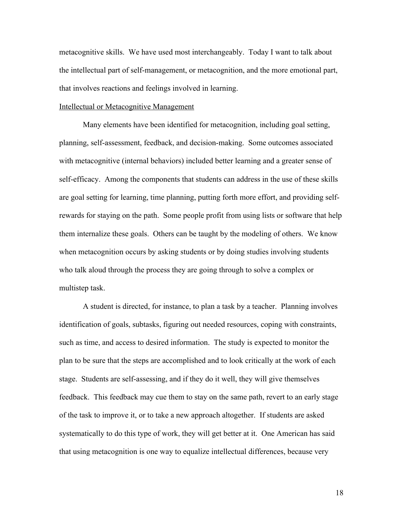metacognitive skills. We have used most interchangeably. Today I want to talk about the intellectual part of self-management, or metacognition, and the more emotional part, that involves reactions and feelings involved in learning.

## Intellectual or Metacognitive Management

Many elements have been identified for metacognition, including goal setting, planning, self-assessment, feedback, and decision-making. Some outcomes associated with metacognitive (internal behaviors) included better learning and a greater sense of self-efficacy. Among the components that students can address in the use of these skills are goal setting for learning, time planning, putting forth more effort, and providing selfrewards for staying on the path. Some people profit from using lists or software that help them internalize these goals. Others can be taught by the modeling of others. We know when metacognition occurs by asking students or by doing studies involving students who talk aloud through the process they are going through to solve a complex or multistep task.

A student is directed, for instance, to plan a task by a teacher. Planning involves identification of goals, subtasks, figuring out needed resources, coping with constraints, such as time, and access to desired information. The study is expected to monitor the plan to be sure that the steps are accomplished and to look critically at the work of each stage. Students are self-assessing, and if they do it well, they will give themselves feedback. This feedback may cue them to stay on the same path, revert to an early stage of the task to improve it, or to take a new approach altogether. If students are asked systematically to do this type of work, they will get better at it. One American has said that using metacognition is one way to equalize intellectual differences, because very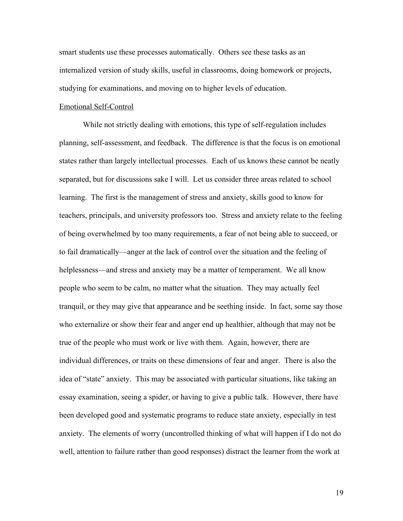smart students use these processes automatically. Others see these tasks as an internalized version of study skills, useful in classrooms, doing homework or projects, studying for examinations, and moving on to higher levels of education.

## Emotional Self-Control

While not strictly dealing with emotions, this type of self-regulation includes planning, self-assessment, and feedback. The difference is that the focus is on emotional states rather than largely intellectual processes. Each of us knows these cannot be neatly separated, but for discussions sake I will. Let us consider three areas related to school learning. The first is the management of stress and anxiety, skills good to know for teachers, principals, and university professors too. Stress and anxiety relate to the feeling of being overwhelmed by too many requirements, a fear of not being able to succeed, or to fail dramatically—anger at the lack of control over the situation and the feeling of helplessness—and stress and anxiety may be a matter of temperament. We all know people who seem to be calm, no matter what the situation. They may actually feel tranquil, or they may give that appearance and be seething inside. In fact, some say those who externalize or show their fear and anger end up healthier, although that may not be true of the people who must work or live with them. Again, however, there are individual differences, or traits on these dimensions of fear and anger. There is also the idea of "state" anxiety. This may be associated with particular situations, like taking an essay examination, seeing a spider, or having to give a public talk. However, there have been developed good and systematic programs to reduce state anxiety, especially in test anxiety. The elements of worry (uncontrolled thinking of what will happen if I do not do well, attention to failure rather than good responses) distract the learner from the work at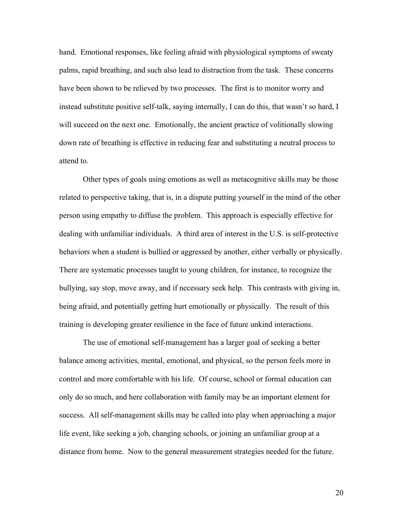hand. Emotional responses, like feeling afraid with physiological symptoms of sweaty palms, rapid breathing, and such also lead to distraction from the task. These concerns have been shown to be relieved by two processes. The first is to monitor worry and instead substitute positive self-talk, saying internally, I can do this, that wasn't so hard, I will succeed on the next one. Emotionally, the ancient practice of volitionally slowing down rate of breathing is effective in reducing fear and substituting a neutral process to attend to.

Other types of goals using emotions as well as metacognitive skills may be those related to perspective taking, that is, in a dispute putting yourself in the mind of the other person using empathy to diffuse the problem. This approach is especially effective for dealing with unfamiliar individuals. A third area of interest in the U.S. is self-protective behaviors when a student is bullied or aggressed by another, either verbally or physically. There are systematic processes taught to young children, for instance, to recognize the bullying, say stop, move away, and if necessary seek help. This contrasts with giving in, being afraid, and potentially getting hurt emotionally or physically. The result of this training is developing greater resilience in the face of future unkind interactions.

The use of emotional self-management has a larger goal of seeking a better balance among activities, mental, emotional, and physical, so the person feels more in control and more comfortable with his life. Of course, school or formal education can only do so much, and here collaboration with family may be an important element for success. All self-management skills may be called into play when approaching a major life event, like seeking a job, changing schools, or joining an unfamiliar group at a distance from home. Now to the general measurement strategies needed for the future.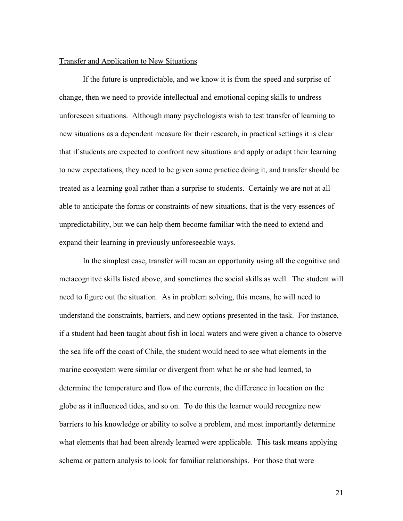# Transfer and Application to New Situations

If the future is unpredictable, and we know it is from the speed and surprise of change, then we need to provide intellectual and emotional coping skills to undress unforeseen situations. Although many psychologists wish to test transfer of learning to new situations as a dependent measure for their research, in practical settings it is clear that if students are expected to confront new situations and apply or adapt their learning to new expectations, they need to be given some practice doing it, and transfer should be treated as a learning goal rather than a surprise to students. Certainly we are not at all able to anticipate the forms or constraints of new situations, that is the very essences of unpredictability, but we can help them become familiar with the need to extend and expand their learning in previously unforeseeable ways.

In the simplest case, transfer will mean an opportunity using all the cognitive and metacognitve skills listed above, and sometimes the social skills as well. The student will need to figure out the situation. As in problem solving, this means, he will need to understand the constraints, barriers, and new options presented in the task. For instance, if a student had been taught about fish in local waters and were given a chance to observe the sea life off the coast of Chile, the student would need to see what elements in the marine ecosystem were similar or divergent from what he or she had learned, to determine the temperature and flow of the currents, the difference in location on the globe as it influenced tides, and so on. To do this the learner would recognize new barriers to his knowledge or ability to solve a problem, and most importantly determine what elements that had been already learned were applicable. This task means applying schema or pattern analysis to look for familiar relationships. For those that were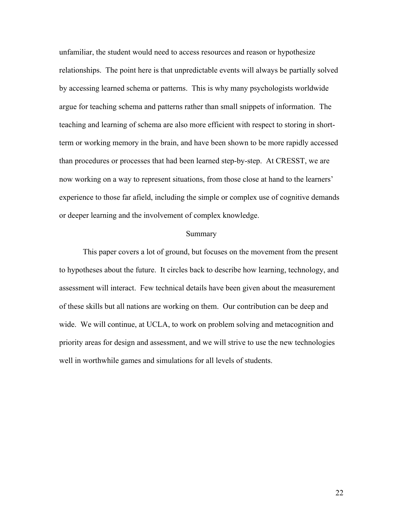unfamiliar, the student would need to access resources and reason or hypothesize relationships. The point here is that unpredictable events will always be partially solved by accessing learned schema or patterns. This is why many psychologists worldwide argue for teaching schema and patterns rather than small snippets of information. The teaching and learning of schema are also more efficient with respect to storing in shortterm or working memory in the brain, and have been shown to be more rapidly accessed than procedures or processes that had been learned step-by-step. At CRESST, we are now working on a way to represent situations, from those close at hand to the learners' experience to those far afield, including the simple or complex use of cognitive demands or deeper learning and the involvement of complex knowledge.

## Summary

This paper covers a lot of ground, but focuses on the movement from the present to hypotheses about the future. It circles back to describe how learning, technology, and assessment will interact. Few technical details have been given about the measurement of these skills but all nations are working on them. Our contribution can be deep and wide. We will continue, at UCLA, to work on problem solving and metacognition and priority areas for design and assessment, and we will strive to use the new technologies well in worthwhile games and simulations for all levels of students.